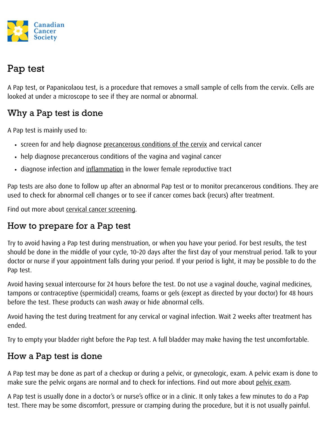

# Pap test

A Pap test, or Papanicolaou test, is a procedure that removes a small sample of cells from the cervix. Cells are looked at under a microscope to see if they are normal or abnormal.

## Why a Pap test is done

A Pap test is mainly used to:

- screen for and help diagnose precancerous conditions of the cervix and cervical cancer
- help diagnose precancerous conditions of the vagina and vaginal cancer
- diagnose infection and inflammation in the lower female reproductive tract

Pap tests are also done to follow up after an abnormal Pap test or to monitor precancerous conditions. They are used to check for abnormal cell changes or to see if cancer comes back (recurs) after treatment.

Find out more about cervical cancer screening.

## How to prepare for a Pap test

Try to avoid having a Pap test during menstruation, or when you have your period. For best results, the test should be done in the middle of your cycle, 10–20 days after the first day of your menstrual period. Talk to your doctor or nurse if your appointment falls during your period. If your period is light, it may be possible to do the Pap test.

Avoid having sexual intercourse for 24 hours before the test. Do not use a vaginal douche, vaginal medicines, tampons or contraceptive (spermicidal) creams, foams or gels (except as directed by your doctor) for 48 hours before the test. These products can wash away or hide abnormal cells.

Avoid having the test during treatment for any cervical or vaginal infection. Wait 2 weeks after treatment has ended.

Try to empty your bladder right before the Pap test. A full bladder may make having the test uncomfortable.

## How a Pap test is done

A Pap test may be done as part of a checkup or during a pelvic, or gynecologic, exam. A pelvic exam is done to make sure the pelvic organs are normal and to check for infections. Find out more about pelvic exam.

A Pap test is usually done in a doctor's or nurse's office or in a clinic. It only takes a few minutes to do a Pap test. There may be some discomfort, pressure or cramping during the procedure, but it is not usually painful.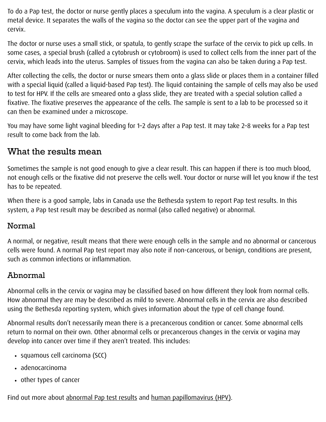To do a Pap test, the doctor or nurse gently places a speculum into the vagina. A speculum is a clear plastic or metal device. It separates the walls of the vagina so the doctor can see the upper part of the vagina and cervix.

The doctor or nurse uses a small stick, or spatula, to gently scrape the surface of the cervix to pick up cells. In some cases, a special brush (called a cytobrush or cytobroom) is used to collect cells from the inner part of the cervix, which leads into the uterus. Samples of tissues from the vagina can also be taken during a Pap test.

After collecting the cells, the doctor or nurse smears them onto a glass slide or places them in a container filled with a special liquid (called a liquid-based Pap test). The liquid containing the sample of cells may also be used to test for HPV. If the cells are smeared onto a glass slide, they are treated with a special solution called a fixative. The fixative preserves the appearance of the cells. The sample is sent to a lab to be processed so it can then be examined under a microscope.

You may have some light vaginal bleeding for 1–2 days after a Pap test. It may take 2–8 weeks for a Pap test result to come back from the lab.

### What the results mean

Sometimes the sample is not good enough to give a clear result. This can happen if there is too much blood, not enough cells or the fixative did not preserve the cells well. Your doctor or nurse will let you know if the test has to be repeated.

When there is a good sample, labs in Canada use the Bethesda system to report Pap test results. In this system, a Pap test result may be described as normal (also called negative) or abnormal.

#### Normal

A normal, or negative, result means that there were enough cells in the sample and no abnormal or cancerous cells were found. A normal Pap test report may also note if non-cancerous, or benign, conditions are present, such as common infections or inflammation.

### Abnormal

Abnormal cells in the cervix or vagina may be classified based on how different they look from normal cells. How abnormal they are may be described as mild to severe. Abnormal cells in the cervix are also described using the Bethesda reporting system, which gives information about the type of cell change found.

Abnormal results don't necessarily mean there is a precancerous condition or cancer. Some abnormal cells return to normal on their own. Other abnormal cells or precancerous changes in the cervix or vagina may develop into cancer over time if they aren't treated. This includes:

- squamous cell carcinoma (SCC)
- adenocarcinoma
- other types of cancer

Find out more about abnormal Pap test results and human papillomavirus (HPV).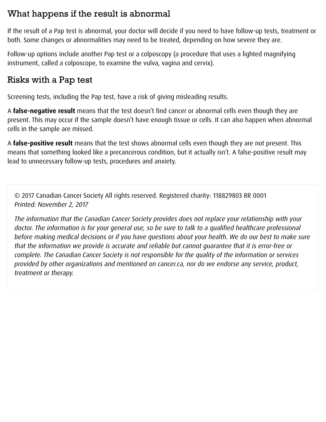### What happens if the result is abnormal

If the result of a Pap test is abnormal, your doctor will decide if you need to have follow-up tests, treatment or both. Some changes or abnormalities may need to be treated, depending on how severe they are.

Follow-up options include another Pap test or a colposcopy (a procedure that uses a lighted magnifying instrument, called a colposcope, to examine the vulva, vagina and cervix).

### Risks with a Pap test

Screening tests, including the Pap test, have a risk of giving misleading results.

A false-negative result means that the test doesn't find cancer or abnormal cells even though they are present. This may occur if the sample doesn't have enough tissue or cells. It can also happen when abnormal cells in the sample are missed.

A false-positive result means that the test shows abnormal cells even though they are not present. This means that something looked like a precancerous condition, but it actually isn't. A false-positive result may lead to unnecessary follow-up tests, procedures and anxiety.

© 2017 Canadian Cancer Society All rights reserved. Registered charity: 118829803 RR 0001 Printed: November 2, 2017

The information that the Canadian Cancer Society provides does not replace your relationship with your doctor. The information is for your general use, so be sure to talk to a qualified healthcare professional before making medical decisions or if you have questions about your health. We do our best to make sure that the information we provide is accurate and reliable but cannot quarantee that it is error-free or complete. The Canadian Cancer Society is not responsible for the quality of the information or services provided by other organizations and mentioned on cancer.ca, nor do we endorse any service, product, treatment or therapy.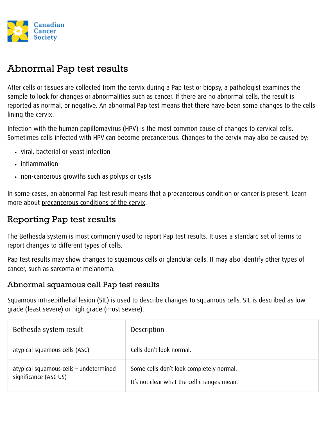

# Abnormal Pap test results

After cells or tissues are collected from the cervix during a Pap test or biopsy, a pathologist examines the sample to look for changes or abnormalities such as cancer. If there are no abnormal cells, the result is reported as normal, or negative. An abnormal Pap test means that there have been some changes to the cells lining the cervix.

Infection with the human papillomavirus (HPV) is the most common cause of changes to cervical cells. Sometimes cells infected with HPV can become precancerous. Changes to the cervix may also be caused by:

- viral, bacterial or yeast infection
- inflammation
- non-cancerous growths such as polyps or cysts

In some cases, an abnormal Pap test result means that a precancerous condition or cancer is present. Learn more about precancerous conditions of the cervix.

## Reporting Pap test results

The Bethesda system is most commonly used to report Pap test results. It uses a standard set of terms to report changes to different types of cells.

Pap test results may show changes to squamous cells or glandular cells. It may also identify other types of cancer, such as sarcoma or melanoma.

#### Abnormal squamous cell Pap test results

Squamous intraepithelial lesion (SIL) is used to describe changes to squamous cells. SIL is described as low grade (least severe) or high grade (most severe).

| Bethesda system result                                          | Description                                                                            |
|-----------------------------------------------------------------|----------------------------------------------------------------------------------------|
| atypical squamous cells (ASC)                                   | Cells don't look normal.                                                               |
| atypical squamous cells - undetermined<br>significance (ASC-US) | Some cells don't look completely normal.<br>It's not clear what the cell changes mean. |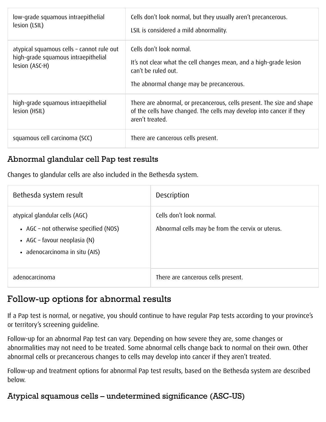| low-grade squamous intraepithelial<br>lesion (LSIL)                                                | Cells don't look normal, but they usually aren't precancerous.<br>LSIL is considered a mild abnormality.                                                          |
|----------------------------------------------------------------------------------------------------|-------------------------------------------------------------------------------------------------------------------------------------------------------------------|
| atypical squamous cells - cannot rule out<br>high-grade squamous intraepithelial<br>lesion (ASC-H) | Cells don't look normal.<br>It's not clear what the cell changes mean, and a high-grade lesion<br>can't be ruled out.<br>The abnormal change may be precancerous. |
| high-grade squamous intraepithelial<br>lesion (HSIL)                                               | There are abnormal, or precancerous, cells present. The size and shape<br>of the cells have changed. The cells may develop into cancer if they<br>aren't treated. |
| squamous cell carcinoma (SCC)                                                                      | There are cancerous cells present.                                                                                                                                |

#### Abnormal glandular cell Pap test results

Changes to glandular cells are also included in the Bethesda system.

| Bethesda system result                                                                                                                      | Description                                                                  |
|---------------------------------------------------------------------------------------------------------------------------------------------|------------------------------------------------------------------------------|
| atypical glandular cells (AGC)<br>• AGC – not otherwise specified (NOS)<br>• AGC – favour neoplasia $(N)$<br>• adenocarcinoma in situ (AIS) | Cells don't look normal.<br>Abnormal cells may be from the cervix or uterus. |
| adenocarcinoma                                                                                                                              | There are cancerous cells present.                                           |

### Follow-up options for abnormal results

If a Pap test is normal, or negative, you should continue to have regular Pap tests according to your province's or territory's screening guideline.

Follow-up for an abnormal Pap test can vary. Depending on how severe they are, some changes or abnormalities may not need to be treated. Some abnormal cells change back to normal on their own. Other abnormal cells or precancerous changes to cells may develop into cancer if they aren't treated.

Follow-up and treatment options for abnormal Pap test results, based on the Bethesda system are described below.

#### Atypical squamous cells – undetermined significance (ASC-US)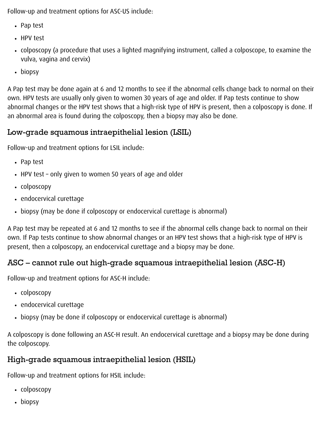Follow-up and treatment options for ASC-US include:

- Pap test
- HPV test
- colposcopy (a procedure that uses a lighted magnifying instrument, called a colposcope, to examine the vulva, vagina and cervix)
- biopsy

A Pap test may be done again at 6 and 12 months to see if the abnormal cells change back to normal on their own. HPV tests are usually only given to women 30 years of age and older. If Pap tests continue to show abnormal changes or the HPV test shows that a high-risk type of HPV is present, then a colposcopy is done. If an abnormal area is found during the colposcopy, then a biopsy may also be done.

## Low-grade squamous intraepithelial lesion (LSIL)

Follow-up and treatment options for LSIL include:

- Pap test
- $\cdot$  HPV test only given to women 50 years of age and older
- colposcopy
- endocervical curettage
- biopsy (may be done if colposcopy or endocervical curettage is abnormal)

A Pap test may be repeated at 6 and 12 months to see if the abnormal cells change back to normal on their own. If Pap tests continue to show abnormal changes or an HPV test shows that a high-risk type of HPV is present, then a colposcopy, an endocervical curettage and a biopsy may be done.

## ASC – cannot rule out high-grade squamous intraepithelial lesion (ASC-H)

Follow-up and treatment options for ASC-H include:

- colposcopy
- endocervical curettage
- biopsy (may be done if colposcopy or endocervical curettage is abnormal)

A colposcopy is done following an ASC-H result. An endocervical curettage and a biopsy may be done during the colposcopy.

# High-grade squamous intraepithelial lesion (HSIL)

Follow-up and treatment options for HSIL include:

- colposcopy
- biopsy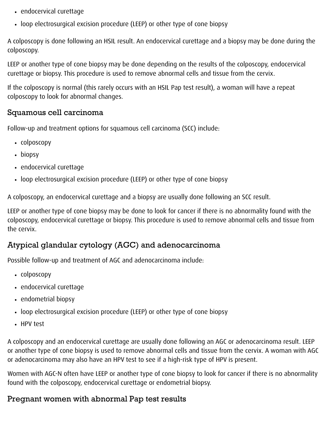- endocervical curettage
- loop electrosurgical excision procedure (LEEP) or other type of cone biopsy

A colposcopy is done following an HSIL result. An endocervical curettage and a biopsy may be done during the colposcopy.

LEEP or another type of cone biopsy may be done depending on the results of the colposcopy, endocervical curettage or biopsy. This procedure is used to remove abnormal cells and tissue from the cervix.

If the colposcopy is normal (this rarely occurs with an HSIL Pap test result), a woman will have a repeat colposcopy to look for abnormal changes.

#### Squamous cell carcinoma

Follow-up and treatment options for squamous cell carcinoma (SCC) include:

- colposcopy
- biopsy
- endocervical curettage
- loop electrosurgical excision procedure (LEEP) or other type of cone biopsy

A colposcopy, an endocervical curettage and a biopsy are usually done following an SCC result.

LEEP or another type of cone biopsy may be done to look for cancer if there is no abnormality found with the colposcopy, endocervical curettage or biopsy. This procedure is used to remove abnormal cells and tissue from the cervix.

### Atypical glandular cytology (AGC) and adenocarcinoma

Possible follow-up and treatment of AGC and adenocarcinoma include:

- colposcopy
- endocervical curettage
- endometrial biopsy
- loop electrosurgical excision procedure (LEEP) or other type of cone biopsy
- HPV test

A colposcopy and an endocervical curettage are usually done following an AGC or adenocarcinoma result. LEEP or another type of cone biopsy is used to remove abnormal cells and tissue from the cervix. A woman with AGC or adenocarcinoma may also have an HPV test to see if a high-risk type of HPV is present.

Women with AGC-N often have LEEP or another type of cone biopsy to look for cancer if there is no abnormality found with the colposcopy, endocervical curettage or endometrial biopsy.

### Pregnant women with abnormal Pap test results